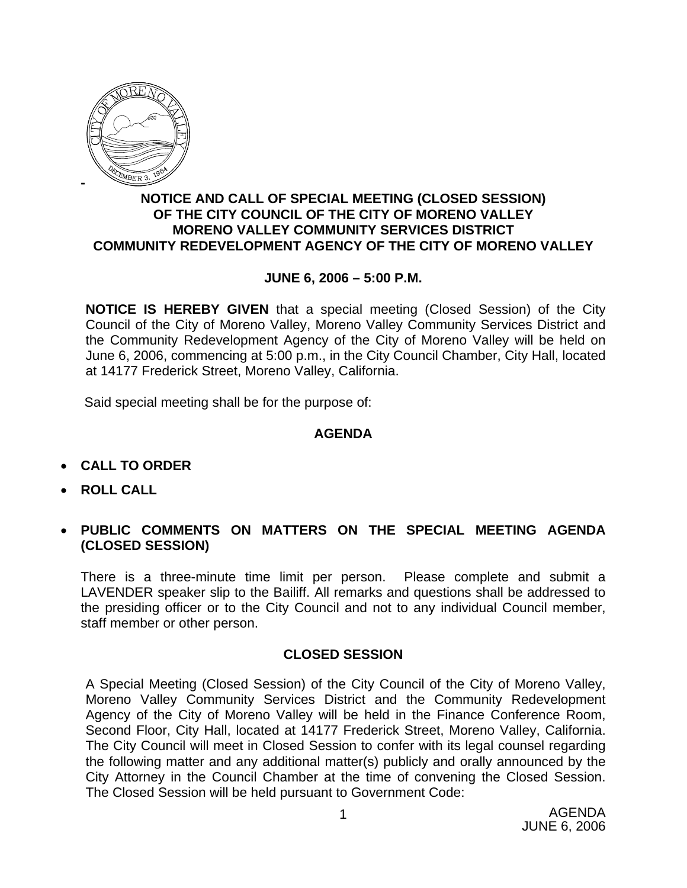

## **NOTICE AND CALL OF SPECIAL MEETING (CLOSED SESSION) OF THE CITY COUNCIL OF THE CITY OF MORENO VALLEY MORENO VALLEY COMMUNITY SERVICES DISTRICT COMMUNITY REDEVELOPMENT AGENCY OF THE CITY OF MORENO VALLEY**

## **JUNE 6, 2006 – 5:00 P.M.**

**NOTICE IS HEREBY GIVEN** that a special meeting (Closed Session) of the City Council of the City of Moreno Valley, Moreno Valley Community Services District and the Community Redevelopment Agency of the City of Moreno Valley will be held on June 6, 2006, commencing at 5:00 p.m., in the City Council Chamber, City Hall, located at 14177 Frederick Street, Moreno Valley, California.

Said special meeting shall be for the purpose of:

## **AGENDA**

- **CALL TO ORDER**
- **ROLL CALL**
- **PUBLIC COMMENTS ON MATTERS ON THE SPECIAL MEETING AGENDA (CLOSED SESSION)**

There is a three-minute time limit per person. Please complete and submit a LAVENDER speaker slip to the Bailiff. All remarks and questions shall be addressed to the presiding officer or to the City Council and not to any individual Council member, staff member or other person.

## **CLOSED SESSION**

A Special Meeting (Closed Session) of the City Council of the City of Moreno Valley, Moreno Valley Community Services District and the Community Redevelopment Agency of the City of Moreno Valley will be held in the Finance Conference Room, Second Floor, City Hall, located at 14177 Frederick Street, Moreno Valley, California. The City Council will meet in Closed Session to confer with its legal counsel regarding the following matter and any additional matter(s) publicly and orally announced by the City Attorney in the Council Chamber at the time of convening the Closed Session. The Closed Session will be held pursuant to Government Code: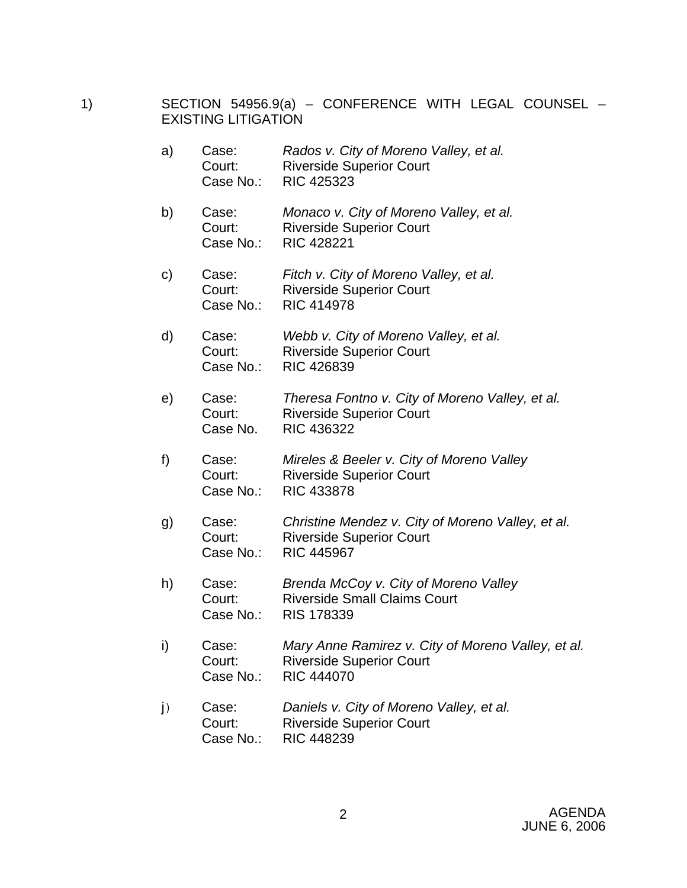- 1) SECTION 54956.9(a) CONFERENCE WITH LEGAL COUNSEL EXISTING LITIGATION
	- a) Case: *Rados v. City of Moreno Valley, et al.*  Court: Riverside Superior Court Case No.: RIC 425323
	- b) Case: *Monaco v. City of Moreno Valley, et al.*  Court: Riverside Superior Court Case No.: RIC 428221
	- c) Case: *Fitch v. City of Moreno Valley, et al.*  Court: Riverside Superior Court Case No.: RIC 414978
	- d) Case: *Webb v. City of Moreno Valley, et al.*  Court: Riverside Superior Court Case No.: RIC 426839
	- e) Case: *Theresa Fontno v. City of Moreno Valley, et al.* Court: Riverside Superior Court Case No. RIC 436322
	- f) Case: *Mireles & Beeler v. City of Moreno Valley*  Court: Riverside Superior Court Case No.: RIC 433878
	- g) Case: *Christine Mendez v. City of Moreno Valley, et al.*  Court: Riverside Superior Court Case No.: RIC 445967
	- h) Case: *Brenda McCoy v. City of Moreno Valley*  Court: Riverside Small Claims Court Case No.: RIS 178339
	- i) Case: *Mary Anne Ramirez v. City of Moreno Valley, et al.*  Court: Riverside Superior Court Case No.: RIC 444070
	- j) Case: *Daniels v. City of Moreno Valley, et al.*  Court: Riverside Superior Court Case No.: RIC 448239